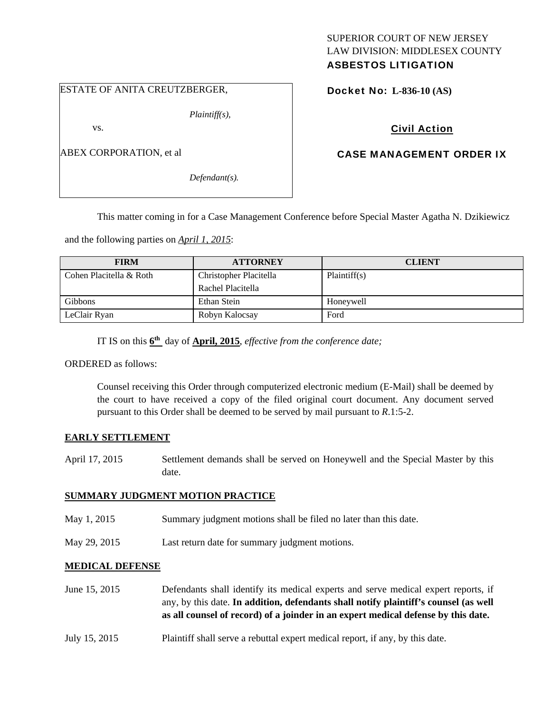# SUPERIOR COURT OF NEW JERSEY LAW DIVISION: MIDDLESEX COUNTY

## ASBESTOS LITIGATION

#### ESTATE OF ANITA CREUTZBERGER,

*Plaintiff(s),* 

vs.

ABEX CORPORATION, et al

*Defendant(s).* 

Docket No: **L-836-10 (AS)** 

## Civil Action

## CASE MANAGEMENT ORDER IX

This matter coming in for a Case Management Conference before Special Master Agatha N. Dzikiewicz

and the following parties on *April 1, 2015*:

| <b>FIRM</b>             | <b>ATTORNEY</b>        | <b>CLIENT</b> |
|-------------------------|------------------------|---------------|
| Cohen Placitella & Roth | Christopher Placitella | Plaintiff(s)  |
|                         | Rachel Placitella      |               |
| <b>Gibbons</b>          | Ethan Stein            | Honeywell     |
| LeClair Ryan            | Robyn Kalocsay         | Ford          |

IT IS on this **6th** day of **April, 2015**, *effective from the conference date;*

ORDERED as follows:

Counsel receiving this Order through computerized electronic medium (E-Mail) shall be deemed by the court to have received a copy of the filed original court document. Any document served pursuant to this Order shall be deemed to be served by mail pursuant to *R*.1:5-2.

### **EARLY SETTLEMENT**

April 17, 2015 Settlement demands shall be served on Honeywell and the Special Master by this date.

### **SUMMARY JUDGMENT MOTION PRACTICE**

- May 1, 2015 Summary judgment motions shall be filed no later than this date.
- May 29, 2015 Last return date for summary judgment motions.

### **MEDICAL DEFENSE**

June 15, 2015 Defendants shall identify its medical experts and serve medical expert reports, if any, by this date. **In addition, defendants shall notify plaintiff's counsel (as well as all counsel of record) of a joinder in an expert medical defense by this date.**

July 15, 2015 Plaintiff shall serve a rebuttal expert medical report, if any, by this date.